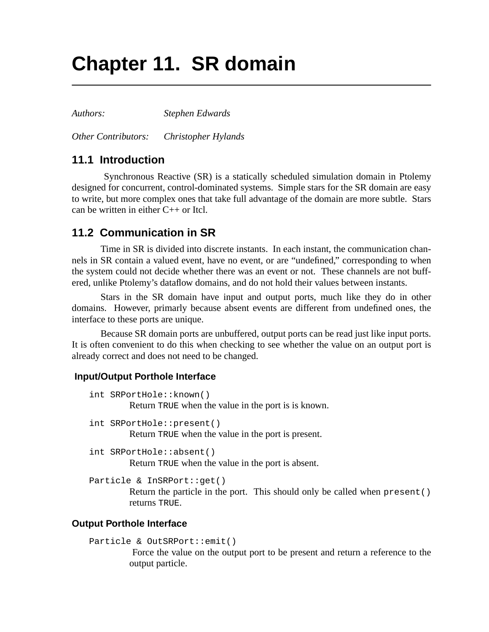# **Chapter 11. SR domain**

*Authors: Stephen Edwards*

*Other Contributors: Christopher Hylands*

## **11.1 Introduction**

 Synchronous Reactive (SR) is a statically scheduled simulation domain in Ptolemy designed for concurrent, control-dominated systems. Simple stars for the SR domain are easy to write, but more complex ones that take full advantage of the domain are more subtle. Stars can be written in either C++ or Itcl.

# **11.2 Communication in SR**

Time in SR is divided into discrete instants. In each instant, the communication channels in SR contain a valued event, have no event, or are "undefined," corresponding to when the system could not decide whether there was an event or not. These channels are not buffered, unlike Ptolemy's dataflow domains, and do not hold their values between instants.

Stars in the SR domain have input and output ports, much like they do in other domains. However, primarly because absent events are different from undefined ones, the interface to these ports are unique.

Because SR domain ports are unbuffered, output ports can be read just like input ports. It is often convenient to do this when checking to see whether the value on an output port is already correct and does not need to be changed.

#### **Input/Output Porthole Interface**

```
int SRPortHole::known()
         Return TRUE when the value in the port is is known.
```
int SRPortHole::present() Return TRUE when the value in the port is present.

int SRPortHole::absent() Return TRUE when the value in the port is absent.

```
Particle & InSRPort::get()
```
Return the particle in the port. This should only be called when present() returns TRUE.

#### **Output Porthole Interface**

```
Particle & OutSRPort::emit()
```
 Force the value on the output port to be present and return a reference to the output particle.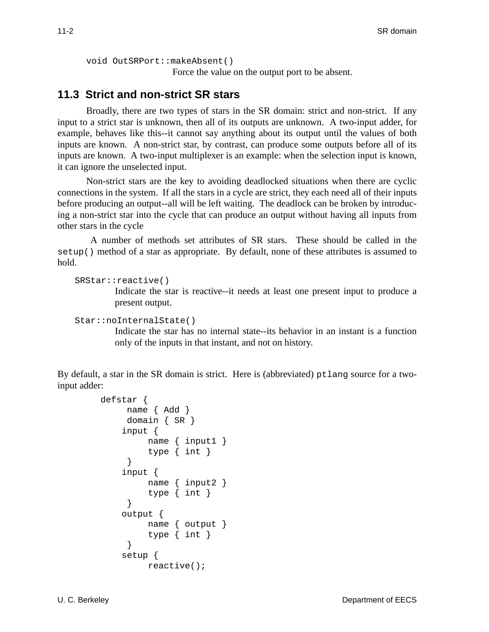```
void OutSRPort::makeAbsent()
```
Force the value on the output port to be absent.

### **11.3 Strict and non-strict SR stars**

Broadly, there are two types of stars in the SR domain: strict and non-strict. If any input to a strict star is unknown, then all of its outputs are unknown. A two-input adder, for example, behaves like this--it cannot say anything about its output until the values of both inputs are known. A non-strict star, by contrast, can produce some outputs before all of its inputs are known. A two-input multiplexer is an example: when the selection input is known, it can ignore the unselected input.

Non-strict stars are the key to avoiding deadlocked situations when there are cyclic connections in the system. If all the stars in a cycle are strict, they each need all of their inputs before producing an output--all will be left waiting. The deadlock can be broken by introducing a non-strict star into the cycle that can produce an output without having all inputs from other stars in the cycle

 A number of methods set attributes of SR stars. These should be called in the setup() method of a star as appropriate. By default, none of these attributes is assumed to hold.

```
SRStar::reactive()
```
Indicate the star is reactive--it needs at least one present input to produce a present output.

```
Star::noInternalState()
```
Indicate the star has no internal state--its behavior in an instant is a function only of the inputs in that instant, and not on history.

By default, a star in the SR domain is strict. Here is (abbreviated) ptlang source for a twoinput adder:

```
defstar {
      name { Add }
      domain { SR }
     input {
           name { input1 }
           type { int }
      }
     input {
           name { input2 }
           type { int }
       }
     output {
           name { output }
           type { int }
      }
     setup {
           reactive();
```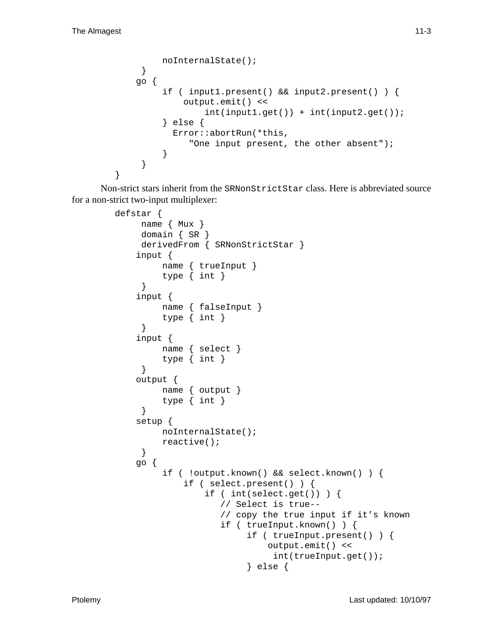```
 noInternalState();
      }
     go {
          if ( input1.present() && input2.present() ) {
              output.emit() <<
                   int(input1.get()) + int(input2.get());
          } else {
            Error::abortRun(*this,
                "One input present, the other absent");
          }
      }
}
```
Non-strict stars inherit from the SRNonStrictStar class. Here is abbreviated source for a non-strict two-input multiplexer:

```
defstar {
      name { Mux }
      domain { SR }
      derivedFrom { SRNonStrictStar }
     input {
          name { trueInput }
          type { int }
      }
     input {
          name { falseInput }
          type { int }
      }
     input {
          name { select }
          type { int }
      }
     output {
          name { output }
          type { int }
      }
     setup {
          noInternalState();
          reactive();
      }
     go {
           if ( !output.known() && select.known() ) {
               if ( select.present() ) {
                   if ( int(select.get()) ) {
                       // Select is true--
                       // copy the true input if it's known
                       if ( trueInput.known() ) {
                            if ( trueInput.present() ) {
                                 output.emit() <<
                                  int(trueInput.get());
                             } else {
```